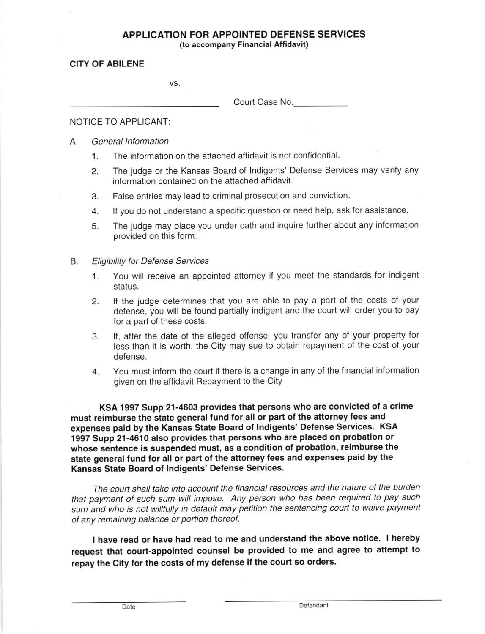## APPLICATION FOR APPO!NTED DEFENSE SERVICES

(to accompany Financial Aflidavit)

## CITY OF ABILENE

VS

Court Case No

## NOTICE TO APPLICANT:

## A. General lnformation

- 1. The information on the attached affidavit is not confidential.
- 2. The judge or the Kansas Board of lndigents' Defense Services may verify any information contained on the attached affidavit.
- 3. False entries may lead to criminal prosecution and conviction.
- 4. lf you do not understand a specific question or need help, ask for assistance.
- 5. The judge may place you under oath and inquire further about any information provided on this form.
- Eligibility for Defense Seruices B.
	- 1. You will receive an appointed attorney if you meet the standards for indigent status.
	- 2. lf the judge determines that you are able to pay a part of the costs of your defense, you will be found partially indigent and the court will order you to pay for a part of these costs.
	- 3. If, after the date of the alleged offense, you transfer any of your property for less than it is worth, the City may sue to obtain repayment of the cost of your defense.
	- 4. You must inform the court if there is a change in any of the financial information given on the affidavit. Repayment to the City

KSA 1997 Supp 21-4603 provides that persons who are convicted of a crime must reimburse the state general fund for all or part of the attorney fees and expenses paid by the Kansas State Board of Indigents' Defense Services. KSA 1997 Supp 21-4610 also provides that persons who are placed on probation or whose sentence is suspended must, as a condition of probation, reimburse the state general fund for all or part of the attorney fees and expenses paid by the Kansas State Board of lndigents' Defense Services.

The court shall take into account the financial resources and the nature of the burden that payment of such sum will impose. Any person who has been required to pay such sum and who is not willfully in default may petition the sentencing court to waive payment of any remaining balance or portion thereof.

I have read or have had read to me and understand the above notice. I hereby request that court-appointed counsel be provided to me and agree to attempt to repay the City for the costs of my defense it the court so orders.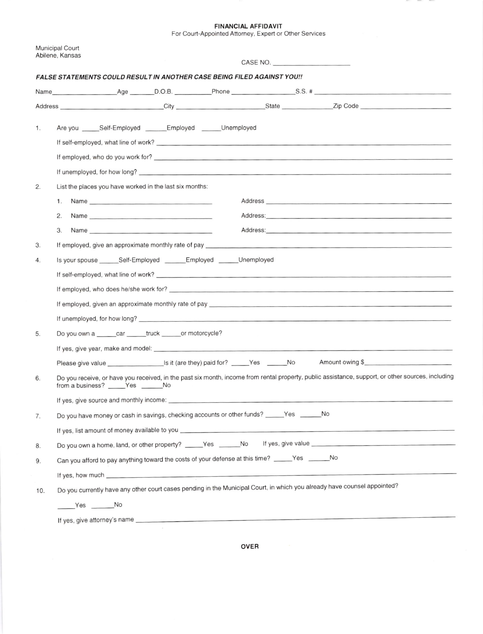FINANCIAL AFFIOAVIT

For Courl-Appointed Attorney, Expert or Other Services

|                                                                                | <b>Municipal Court</b><br>Abilene, Kansas<br>CASE NO.                                                                                                                                                                                            |  |  |  |
|--------------------------------------------------------------------------------|--------------------------------------------------------------------------------------------------------------------------------------------------------------------------------------------------------------------------------------------------|--|--|--|
| <b>FALSE STATEMENTS COULD RESULT IN ANOTHER CASE BEING FILED AGAINST YOU!!</b> |                                                                                                                                                                                                                                                  |  |  |  |
|                                                                                |                                                                                                                                                                                                                                                  |  |  |  |
|                                                                                |                                                                                                                                                                                                                                                  |  |  |  |
| 1.                                                                             | Are you ______Self-Employed _______Employed ______Unemployed                                                                                                                                                                                     |  |  |  |
|                                                                                |                                                                                                                                                                                                                                                  |  |  |  |
|                                                                                | If unemployed, for how long?                                                                                                                                                                                                                     |  |  |  |
| 2.                                                                             | List the places you have worked in the last six months:                                                                                                                                                                                          |  |  |  |
|                                                                                | Name experience and a series of the contract of the contract of the contract of the contract of the contract of the contract of the contract of the contract of the contract of the contract of the contract of the contract o<br>1.             |  |  |  |
|                                                                                | 2.<br>Address: Address: Address: Address: Address: Address: Address: Address: Address: Address: Address: Address: Address: Address: Address: Address: Address: Address: Address: Address: Address: Address: Address: Address: Addres             |  |  |  |
|                                                                                | З.                                                                                                                                                                                                                                               |  |  |  |
| 3.                                                                             | If employed, give an approximate monthly rate of pay                                                                                                                                                                                             |  |  |  |
| 4.                                                                             | Is your spouse _______ Self-Employed ________ Employed _______ Unemployed                                                                                                                                                                        |  |  |  |
|                                                                                |                                                                                                                                                                                                                                                  |  |  |  |
|                                                                                |                                                                                                                                                                                                                                                  |  |  |  |
|                                                                                |                                                                                                                                                                                                                                                  |  |  |  |
|                                                                                |                                                                                                                                                                                                                                                  |  |  |  |
| 5.                                                                             | Do you own a car truck ______ or motorcycle?                                                                                                                                                                                                     |  |  |  |
|                                                                                |                                                                                                                                                                                                                                                  |  |  |  |
|                                                                                | Amount owing \$<br>Please give value state of the state of the state of the state of the state of the state of the state of the state of the state of the state of the state of the state of the state of the state of the state of the state of |  |  |  |
| 6.                                                                             | Do you receive, or have you received, in the past six month, income from rental property, public assistance, support, or other sources, including<br>from a business? _____Yes ______No                                                          |  |  |  |
|                                                                                | If yes, give source and monthly income: example and monthly income and monthly income.                                                                                                                                                           |  |  |  |
| 7.                                                                             | Do you have money or cash in savings, checking accounts or other funds? _____Yes ______No                                                                                                                                                        |  |  |  |
|                                                                                |                                                                                                                                                                                                                                                  |  |  |  |
| 8.                                                                             | Do you own a home, land, or other property? ______Yes _______No lf yes, give value                                                                                                                                                               |  |  |  |
| 9.                                                                             | Can you afford to pay anything toward the costs of your defense at this time? _____Yes ______No                                                                                                                                                  |  |  |  |
|                                                                                | If yes, how much services and the services of the services of the services of the services of the services of the services of the services of the services of the services of the services of the services of the services of                    |  |  |  |
| 10.                                                                            | Do you currently have any other court cases pending in the Municipal Court, in which you already have counsel appointed?                                                                                                                         |  |  |  |
|                                                                                | Yes No                                                                                                                                                                                                                                           |  |  |  |
|                                                                                |                                                                                                                                                                                                                                                  |  |  |  |